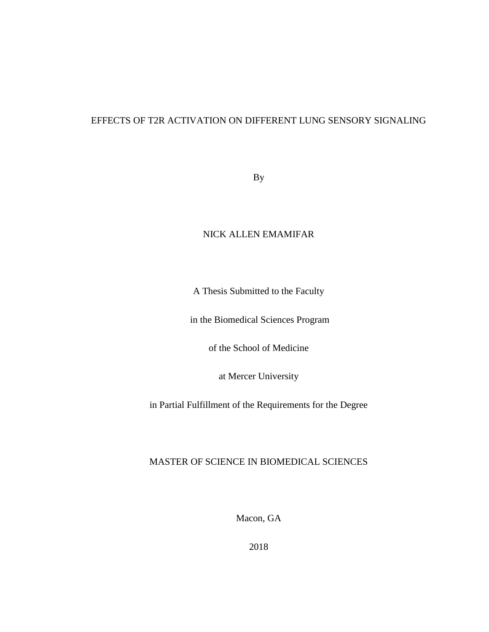## EFFECTS OF T2R ACTIVATION ON DIFFERENT LUNG SENSORY SIGNALING

By

## NICK ALLEN EMAMIFAR

A Thesis Submitted to the Faculty

in the Biomedical Sciences Program

of the School of Medicine

at Mercer University

in Partial Fulfillment of the Requirements for the Degree

### MASTER OF SCIENCE IN BIOMEDICAL SCIENCES

Macon, GA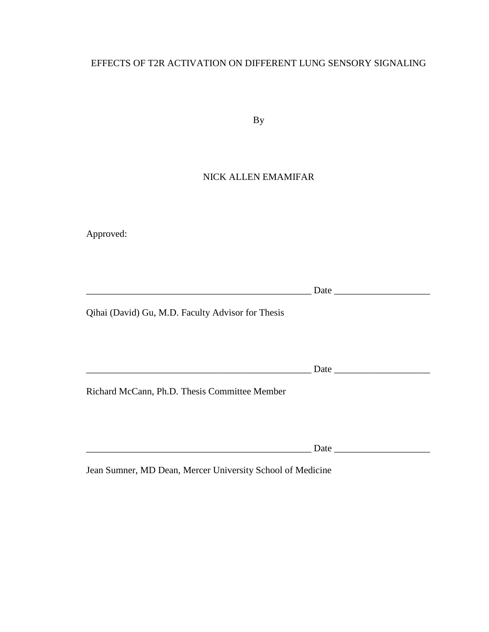## EFFECTS OF T2R ACTIVATION ON DIFFERENT LUNG SENSORY SIGNALING

By

## NICK ALLEN EMAMIFAR

Approved:

\_\_\_\_\_\_\_\_\_\_\_\_\_\_\_\_\_\_\_\_\_\_\_\_\_\_\_\_\_\_\_\_\_\_\_\_\_\_\_\_\_\_\_\_\_\_\_ Date \_\_\_\_\_\_\_\_\_\_\_\_\_\_\_\_\_\_\_\_

Qihai (David) Gu, M.D. Faculty Advisor for Thesis

 $\Box$  Date  $\Box$ 

Richard McCann, Ph.D. Thesis Committee Member

Date  $\Box$ 

Jean Sumner, MD Dean, Mercer University School of Medicine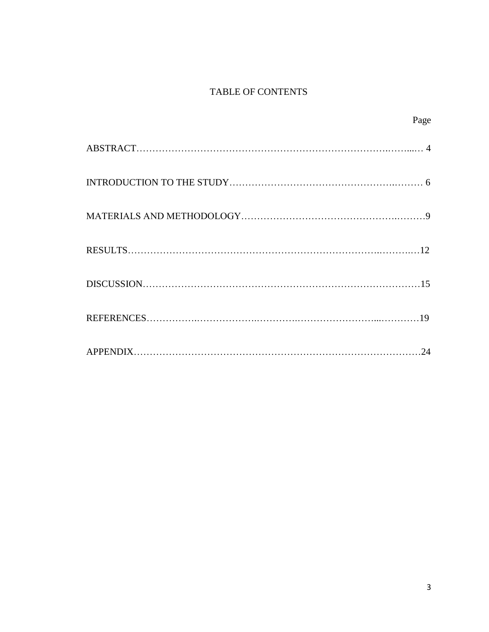# TABLE OF CONTENTS

| Page |
|------|
|      |
|      |
|      |
|      |
|      |
|      |
|      |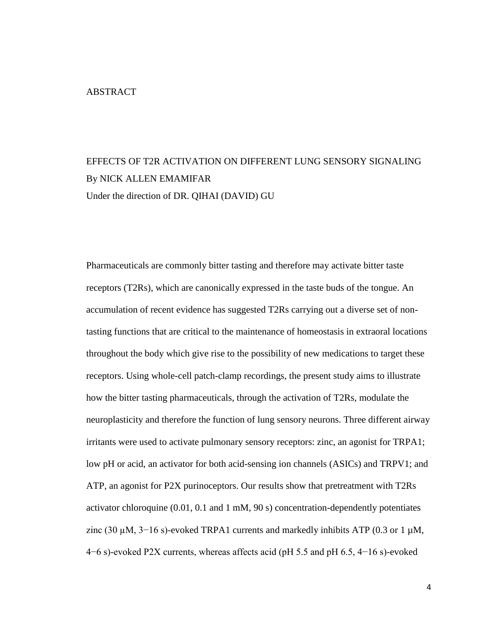# EFFECTS OF T2R ACTIVATION ON DIFFERENT LUNG SENSORY SIGNALING By NICK ALLEN EMAMIFAR Under the direction of DR. QIHAI (DAVID) GU

Pharmaceuticals are commonly bitter tasting and therefore may activate bitter taste receptors (T2Rs), which are canonically expressed in the taste buds of the tongue. An accumulation of recent evidence has suggested T2Rs carrying out a diverse set of nontasting functions that are critical to the maintenance of homeostasis in extraoral locations throughout the body which give rise to the possibility of new medications to target these receptors. Using whole-cell patch-clamp recordings, the present study aims to illustrate how the bitter tasting pharmaceuticals, through the activation of T2Rs, modulate the neuroplasticity and therefore the function of lung sensory neurons. Three different airway irritants were used to activate pulmonary sensory receptors: zinc, an agonist for TRPA1; low pH or acid, an activator for both acid-sensing ion channels (ASICs) and TRPV1; and ATP, an agonist for P2X purinoceptors. Our results show that pretreatment with T2Rs activator chloroquine (0.01, 0.1 and 1 mM, 90 s) concentration-dependently potentiates zinc (30  $\mu$ M, 3–16 s)-evoked TRPA1 currents and markedly inhibits ATP (0.3 or 1  $\mu$ M, 4−6 s)-evoked P2X currents, whereas affects acid (pH 5.5 and pH 6.5, 4−16 s)-evoked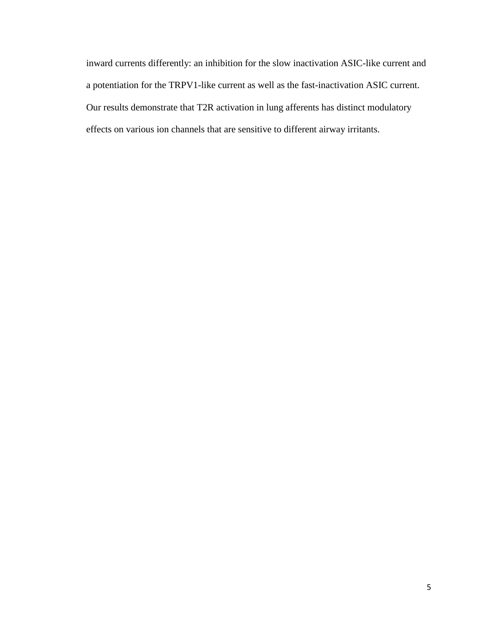inward currents differently: an inhibition for the slow inactivation ASIC-like current and a potentiation for the TRPV1-like current as well as the fast-inactivation ASIC current. Our results demonstrate that T2R activation in lung afferents has distinct modulatory effects on various ion channels that are sensitive to different airway irritants.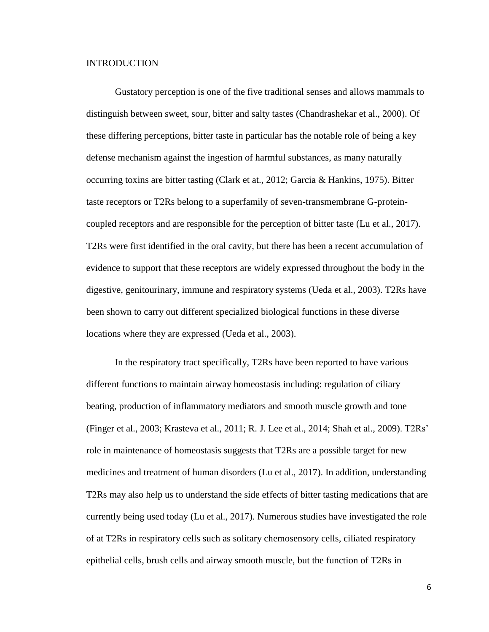### INTRODUCTION

Gustatory perception is one of the five traditional senses and allows mammals to distinguish between sweet, sour, bitter and salty tastes (Chandrashekar et al., 2000). Of these differing perceptions, bitter taste in particular has the notable role of being a key defense mechanism against the ingestion of harmful substances, as many naturally occurring toxins are bitter tasting (Clark et at., 2012; Garcia & Hankins, 1975). Bitter taste receptors or T2Rs belong to a superfamily of seven-transmembrane G-proteincoupled receptors and are responsible for the perception of bitter taste (Lu et al., 2017). T2Rs were first identified in the oral cavity, but there has been a recent accumulation of evidence to support that these receptors are widely expressed throughout the body in the digestive, genitourinary, immune and respiratory systems (Ueda et al., 2003). T2Rs have been shown to carry out different specialized biological functions in these diverse locations where they are expressed (Ueda et al., 2003).

In the respiratory tract specifically, T2Rs have been reported to have various different functions to maintain airway homeostasis including: regulation of ciliary beating, production of inflammatory mediators and smooth muscle growth and tone (Finger et al., 2003; Krasteva et al., 2011; R. J. Lee et al., 2014; Shah et al., 2009). T2Rs' role in maintenance of homeostasis suggests that T2Rs are a possible target for new medicines and treatment of human disorders (Lu et al., 2017). In addition, understanding T2Rs may also help us to understand the side effects of bitter tasting medications that are currently being used today (Lu et al., 2017). Numerous studies have investigated the role of at T2Rs in respiratory cells such as solitary chemosensory cells, ciliated respiratory epithelial cells, brush cells and airway smooth muscle, but the function of T2Rs in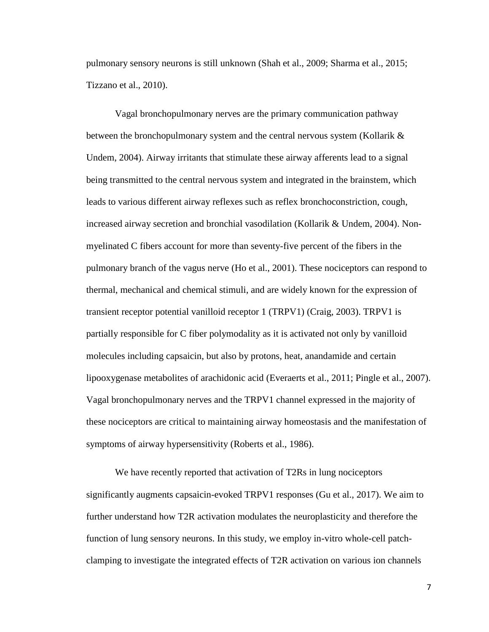pulmonary sensory neurons is still unknown (Shah et al., 2009; Sharma et al., 2015; Tizzano et al., 2010).

Vagal bronchopulmonary nerves are the primary communication pathway between the bronchopulmonary system and the central nervous system (Kollarik & Undem, 2004). Airway irritants that stimulate these airway afferents lead to a signal being transmitted to the central nervous system and integrated in the brainstem, which leads to various different airway reflexes such as reflex bronchoconstriction, cough, increased airway secretion and bronchial vasodilation (Kollarik & Undem, 2004). Nonmyelinated C fibers account for more than seventy-five percent of the fibers in the pulmonary branch of the vagus nerve (Ho et al., 2001). These nociceptors can respond to thermal, mechanical and chemical stimuli, and are widely known for the expression of transient receptor potential vanilloid receptor 1 (TRPV1) (Craig, 2003). TRPV1 is partially responsible for C fiber polymodality as it is activated not only by vanilloid molecules including capsaicin, but also by protons, heat, anandamide and certain lipooxygenase metabolites of arachidonic acid (Everaerts et al., 2011; Pingle et al., 2007). Vagal bronchopulmonary nerves and the TRPV1 channel expressed in the majority of these nociceptors are critical to maintaining airway homeostasis and the manifestation of symptoms of airway hypersensitivity (Roberts et al., 1986).

We have recently reported that activation of T2Rs in lung nociceptors significantly augments capsaicin-evoked TRPV1 responses (Gu et al., 2017). We aim to further understand how T2R activation modulates the neuroplasticity and therefore the function of lung sensory neurons. In this study, we employ in-vitro whole-cell patchclamping to investigate the integrated effects of T2R activation on various ion channels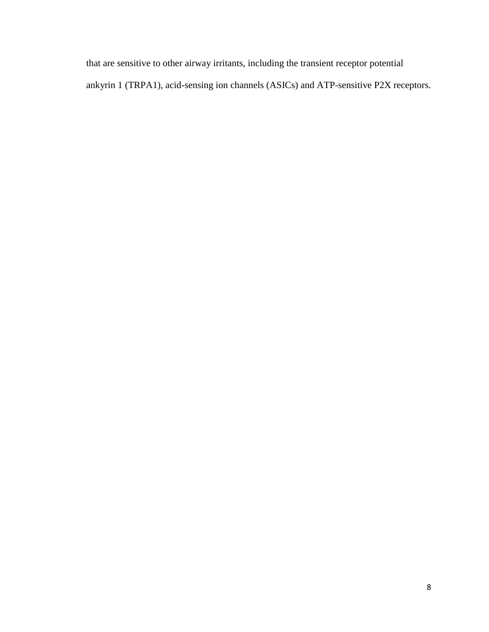that are sensitive to other airway irritants, including the transient receptor potential ankyrin 1 (TRPA1), acid-sensing ion channels (ASICs) and ATP-sensitive P2X receptors.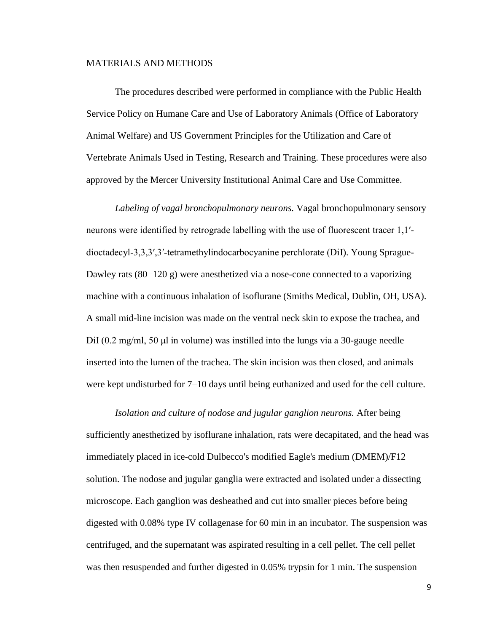### MATERIALS AND METHODS

The procedures described were performed in compliance with the Public Health Service Policy on Humane Care and Use of Laboratory Animals (Office of Laboratory Animal Welfare) and US Government Principles for the Utilization and Care of Vertebrate Animals Used in Testing, Research and Training. These procedures were also approved by the Mercer University Institutional Animal Care and Use Committee.

*Labeling of vagal bronchopulmonary neurons.* Vagal bronchopulmonary sensory neurons were identified by retrograde labelling with the use of fluorescent tracer 1,1′‐ dioctadecyl‐3,3,3′,3′‐tetramethylindocarbocyanine perchlorate (DiI). Young Sprague-Dawley rats (80−120 g) were anesthetized via a nose-cone connected to a vaporizing machine with a continuous inhalation of isoflurane (Smiths Medical, Dublin, OH, USA). A small mid-line incision was made on the ventral neck skin to expose the trachea, and DiI (0.2 mg/ml, 50 μl in volume) was instilled into the lungs via a 30-gauge needle inserted into the lumen of the trachea. The skin incision was then closed, and animals were kept undisturbed for 7–10 days until being euthanized and used for the cell culture.

*Isolation and culture of nodose and jugular ganglion neurons.* After being sufficiently anesthetized by isoflurane inhalation, rats were decapitated, and the head was immediately placed in ice-cold Dulbecco's modified Eagle's medium (DMEM)/F12 solution. The nodose and jugular ganglia were extracted and isolated under a dissecting microscope. Each ganglion was desheathed and cut into smaller pieces before being digested with 0.08% type IV collagenase for 60 min in an incubator. The suspension was centrifuged, and the supernatant was aspirated resulting in a cell pellet. The cell pellet was then resuspended and further digested in 0.05% trypsin for 1 min. The suspension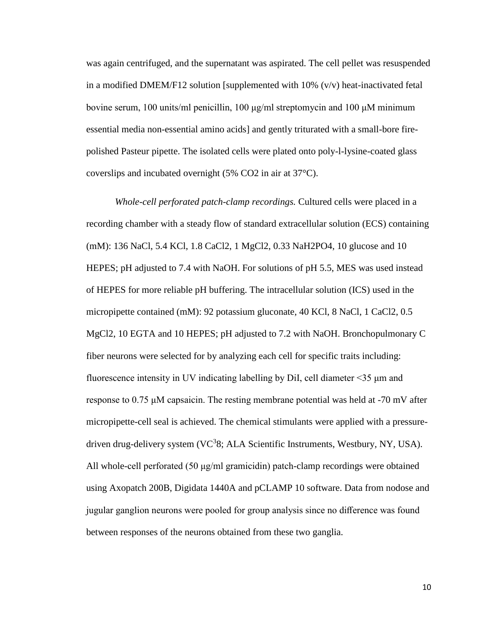was again centrifuged, and the supernatant was aspirated. The cell pellet was resuspended in a modified DMEM/F12 solution [supplemented with  $10\%$  (v/v) heat-inactivated fetal bovine serum, 100 units/ml penicillin, 100 μg/ml streptomycin and 100 μM minimum essential media non-essential amino acids] and gently triturated with a small-bore firepolished Pasteur pipette. The isolated cells were plated onto poly-l-lysine-coated glass coverslips and incubated overnight (5% CO2 in air at 37°C).

*Whole-cell perforated patch-clamp recordings.* Cultured cells were placed in a recording chamber with a steady flow of standard extracellular solution (ECS) containing (mM): 136 NaCl, 5.4 KCl, 1.8 CaCl2, 1 MgCl2, 0.33 NaH2PO4, 10 glucose and 10 HEPES; pH adjusted to 7.4 with NaOH. For solutions of pH 5.5, MES was used instead of HEPES for more reliable pH buffering. The intracellular solution (ICS) used in the micropipette contained (mM): 92 potassium gluconate, 40 KCl, 8 NaCl, 1 CaCl2, 0.5 MgCl2, 10 EGTA and 10 HEPES; pH adjusted to 7.2 with NaOH. Bronchopulmonary C fiber neurons were selected for by analyzing each cell for specific traits including: fluorescence intensity in UV indicating labelling by DiI, cell diameter <35 μm and response to  $0.75 \mu$ M capsaicin. The resting membrane potential was held at -70 mV after micropipette-cell seal is achieved. The chemical stimulants were applied with a pressuredriven drug-delivery system (VC<sup>3</sup>8; ALA Scientific Instruments, Westbury, NY, USA). All whole-cell perforated (50 μg/ml gramicidin) patch-clamp recordings were obtained using Axopatch 200B, Digidata 1440A and pCLAMP 10 software. Data from nodose and jugular ganglion neurons were pooled for group analysis since no difference was found between responses of the neurons obtained from these two ganglia.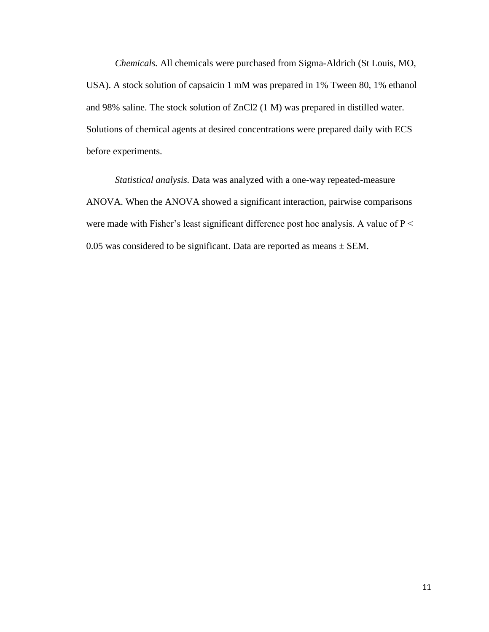*Chemicals.* All chemicals were purchased from Sigma-Aldrich (St Louis, MO, USA). A stock solution of capsaicin 1 mM was prepared in 1% Tween 80, 1% ethanol and 98% saline. The stock solution of ZnCl2 (1 M) was prepared in distilled water. Solutions of chemical agents at desired concentrations were prepared daily with ECS before experiments.

*Statistical analysis.* Data was analyzed with a one-way repeated-measure ANOVA. When the ANOVA showed a significant interaction, pairwise comparisons were made with Fisher's least significant difference post hoc analysis. A value of  $P \leq$ 0.05 was considered to be significant. Data are reported as means  $\pm$  SEM.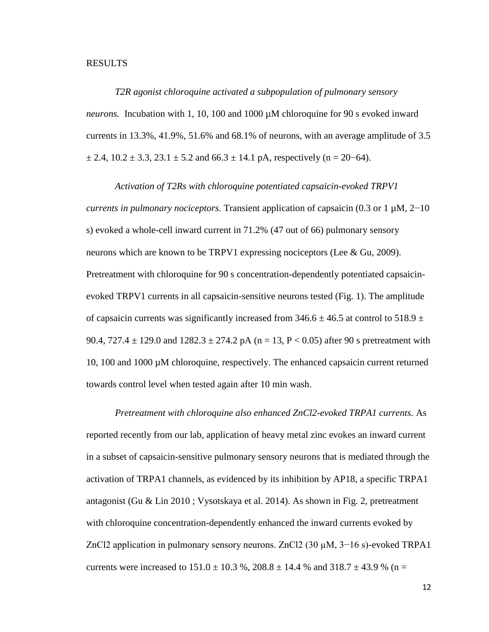#### RESULTS

*T2R agonist chloroquine activated a subpopulation of pulmonary sensory neurons.* Incubation with 1, 10, 100 and 1000 µM chloroquine for 90 s evoked inward currents in 13.3%, 41.9%, 51.6% and 68.1% of neurons, with an average amplitude of 3.5  $\pm$  2.4, 10.2  $\pm$  3.3, 23.1  $\pm$  5.2 and 66.3  $\pm$  14.1 pA, respectively (n = 20–64).

*Activation of T2Rs with chloroquine potentiated capsaicin-evoked TRPV1 currents in pulmonary nociceptors.* Transient application of capsaicin (0.3 or 1 µM, 2−10 s) evoked a whole-cell inward current in 71.2% (47 out of 66) pulmonary sensory neurons which are known to be TRPV1 expressing nociceptors (Lee & Gu, 2009). Pretreatment with chloroquine for 90 s concentration-dependently potentiated capsaicinevoked TRPV1 currents in all capsaicin-sensitive neurons tested (Fig. 1). The amplitude of capsaicin currents was significantly increased from 346.6  $\pm$  46.5 at control to 518.9  $\pm$ 90.4,  $727.4 \pm 129.0$  and  $1282.3 \pm 274.2$  pA (n = 13, P < 0.05) after 90 s pretreatment with 10, 100 and 1000 µM chloroquine, respectively. The enhanced capsaicin current returned towards control level when tested again after 10 min wash.

*Pretreatment with chloroquine also enhanced ZnCl2-evoked TRPA1 currents.* As reported recently from our lab, application of heavy metal zinc evokes an inward current in a subset of capsaicin-sensitive pulmonary sensory neurons that is mediated through the activation of TRPA1 channels, as evidenced by its inhibition by AP18, a specific TRPA1 antagonist (Gu & Lin 2010 ; Vysotskaya et al. 2014). As shown in Fig. 2, pretreatment with chloroquine concentration-dependently enhanced the inward currents evoked by ZnCl2 application in pulmonary sensory neurons. ZnCl2 (30 µM, 3−16 s)-evoked TRPA1 currents were increased to  $151.0 \pm 10.3$  %,  $208.8 \pm 14.4$  % and  $318.7 \pm 43.9$  % (n =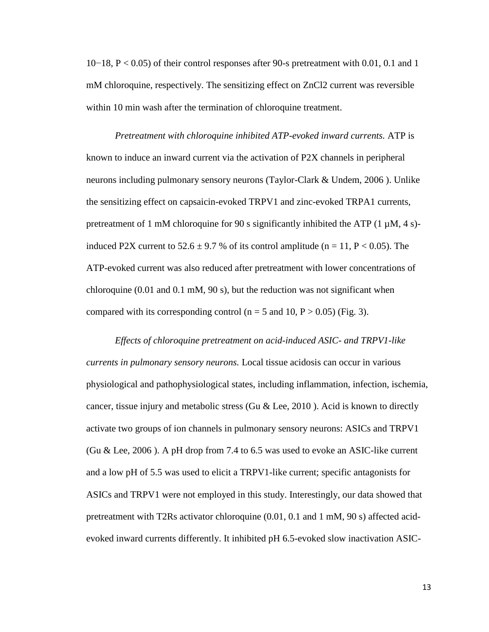10−18, P < 0.05) of their control responses after 90-s pretreatment with 0.01, 0.1 and 1 mM chloroquine, respectively. The sensitizing effect on ZnCl2 current was reversible within 10 min wash after the termination of chloroquine treatment.

*Pretreatment with chloroquine inhibited ATP-evoked inward currents.* ATP is known to induce an inward current via the activation of P2X channels in peripheral neurons including pulmonary sensory neurons (Taylor-Clark & Undem, 2006 ). Unlike the sensitizing effect on capsaicin-evoked TRPV1 and zinc-evoked TRPA1 currents, pretreatment of 1 mM chloroquine for 90 s significantly inhibited the ATP  $(1 \mu M, 4 \text{ s})$ induced P2X current to  $52.6 \pm 9.7$  % of its control amplitude (n = 11, P < 0.05). The ATP-evoked current was also reduced after pretreatment with lower concentrations of chloroquine  $(0.01 \text{ and } 0.1 \text{ mM}, 90 \text{ s})$ , but the reduction was not significant when compared with its corresponding control ( $n = 5$  and 10,  $P > 0.05$ ) (Fig. 3).

*Effects of chloroquine pretreatment on acid-induced ASIC- and TRPV1-like currents in pulmonary sensory neurons.* Local tissue acidosis can occur in various physiological and pathophysiological states, including inflammation, infection, ischemia, cancer, tissue injury and metabolic stress (Gu & Lee, 2010). Acid is known to directly activate two groups of ion channels in pulmonary sensory neurons: ASICs and TRPV1 (Gu & Lee, 2006 ). A pH drop from 7.4 to 6.5 was used to evoke an ASIC-like current and a low pH of 5.5 was used to elicit a TRPV1-like current; specific antagonists for ASICs and TRPV1 were not employed in this study. Interestingly, our data showed that pretreatment with T2Rs activator chloroquine (0.01, 0.1 and 1 mM, 90 s) affected acidevoked inward currents differently. It inhibited pH 6.5-evoked slow inactivation ASIC-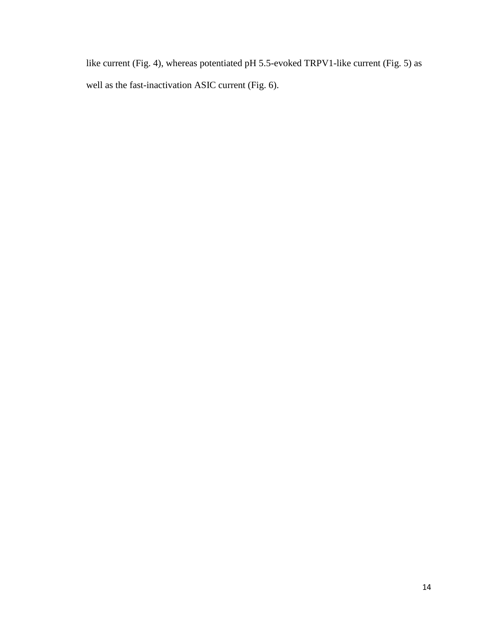like current (Fig. 4), whereas potentiated pH 5.5-evoked TRPV1-like current (Fig. 5) as well as the fast-inactivation ASIC current (Fig. 6).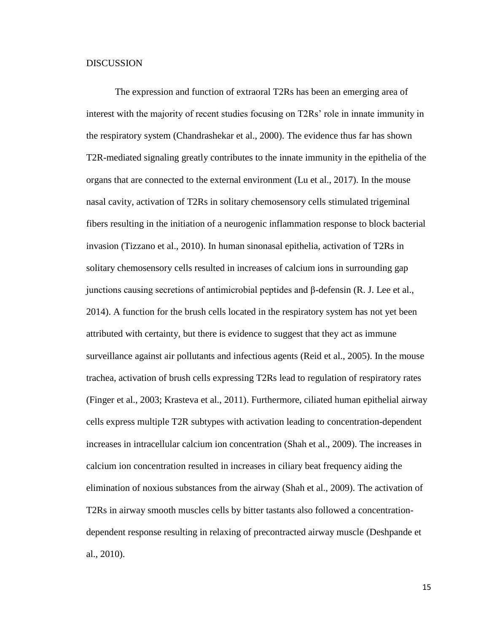### **DISCUSSION**

The expression and function of extraoral T2Rs has been an emerging area of interest with the majority of recent studies focusing on T2Rs' role in innate immunity in the respiratory system (Chandrashekar et al., 2000). The evidence thus far has shown T2R-mediated signaling greatly contributes to the innate immunity in the epithelia of the organs that are connected to the external environment (Lu et al., 2017). In the mouse nasal cavity, activation of T2Rs in solitary chemosensory cells stimulated trigeminal fibers resulting in the initiation of a neurogenic inflammation response to block bacterial invasion (Tizzano et al., 2010). In human sinonasal epithelia, activation of T2Rs in solitary chemosensory cells resulted in increases of calcium ions in surrounding gap junctions causing secretions of antimicrobial peptides and β-defensin (R. J. Lee et al., 2014). A function for the brush cells located in the respiratory system has not yet been attributed with certainty, but there is evidence to suggest that they act as immune surveillance against air pollutants and infectious agents (Reid et al., 2005). In the mouse trachea, activation of brush cells expressing T2Rs lead to regulation of respiratory rates (Finger et al., 2003; Krasteva et al., 2011). Furthermore, ciliated human epithelial airway cells express multiple T2R subtypes with activation leading to concentration-dependent increases in intracellular calcium ion concentration (Shah et al., 2009). The increases in calcium ion concentration resulted in increases in ciliary beat frequency aiding the elimination of noxious substances from the airway (Shah et al., 2009). The activation of T2Rs in airway smooth muscles cells by bitter tastants also followed a concentrationdependent response resulting in relaxing of precontracted airway muscle (Deshpande et al., 2010).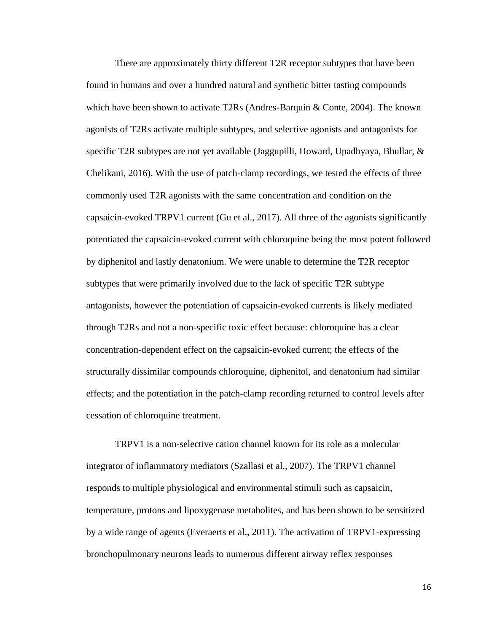There are approximately thirty different T2R receptor subtypes that have been found in humans and over a hundred natural and synthetic bitter tasting compounds which have been shown to activate T2Rs (Andres-Barquin & Conte, 2004). The known agonists of T2Rs activate multiple subtypes, and selective agonists and antagonists for specific T2R subtypes are not yet available (Jaggupilli, Howard, Upadhyaya, Bhullar,  $\&$ Chelikani, 2016). With the use of patch-clamp recordings, we tested the effects of three commonly used T2R agonists with the same concentration and condition on the capsaicin-evoked TRPV1 current (Gu et al., 2017). All three of the agonists significantly potentiated the capsaicin-evoked current with chloroquine being the most potent followed by diphenitol and lastly denatonium. We were unable to determine the T2R receptor subtypes that were primarily involved due to the lack of specific T2R subtype antagonists, however the potentiation of capsaicin-evoked currents is likely mediated through T2Rs and not a non-specific toxic effect because: chloroquine has a clear concentration-dependent effect on the capsaicin-evoked current; the effects of the structurally dissimilar compounds chloroquine, diphenitol, and denatonium had similar effects; and the potentiation in the patch-clamp recording returned to control levels after cessation of chloroquine treatment.

TRPV1 is a non-selective cation channel known for its role as a molecular integrator of inflammatory mediators (Szallasi et al., 2007). The TRPV1 channel responds to multiple physiological and environmental stimuli such as capsaicin, temperature, protons and lipoxygenase metabolites, and has been shown to be sensitized by a wide range of agents (Everaerts et al., 2011). The activation of TRPV1-expressing bronchopulmonary neurons leads to numerous different airway reflex responses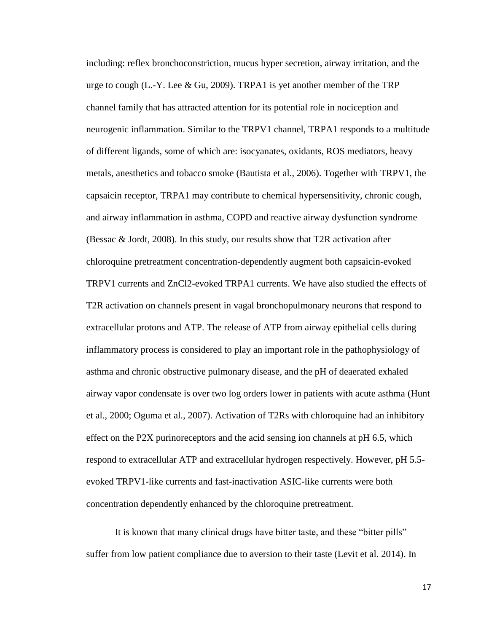including: reflex bronchoconstriction, mucus hyper secretion, airway irritation, and the urge to cough  $(L.-Y.$  Lee & Gu, 2009). TRPA1 is yet another member of the TRP channel family that has attracted attention for its potential role in nociception and neurogenic inflammation. Similar to the TRPV1 channel, TRPA1 responds to a multitude of different ligands, some of which are: isocyanates, oxidants, ROS mediators, heavy metals, anesthetics and tobacco smoke (Bautista et al., 2006). Together with TRPV1, the capsaicin receptor, TRPA1 may contribute to chemical hypersensitivity, chronic cough, and airway inflammation in asthma, COPD and reactive airway dysfunction syndrome (Bessac & Jordt, 2008). In this study, our results show that T2R activation after chloroquine pretreatment concentration-dependently augment both capsaicin-evoked TRPV1 currents and ZnCl2-evoked TRPA1 currents. We have also studied the effects of T2R activation on channels present in vagal bronchopulmonary neurons that respond to extracellular protons and ATP. The release of ATP from airway epithelial cells during inflammatory process is considered to play an important role in the pathophysiology of asthma and chronic obstructive pulmonary disease, and the pH of deaerated exhaled airway vapor condensate is over two log orders lower in patients with acute asthma (Hunt et al., 2000; Oguma et al., 2007). Activation of T2Rs with chloroquine had an inhibitory effect on the P2X purinoreceptors and the acid sensing ion channels at pH 6.5, which respond to extracellular ATP and extracellular hydrogen respectively. However, pH 5.5 evoked TRPV1-like currents and fast-inactivation ASIC-like currents were both concentration dependently enhanced by the chloroquine pretreatment.

It is known that many clinical drugs have bitter taste, and these "bitter pills" suffer from low patient compliance due to aversion to their taste (Levit et al. 2014). In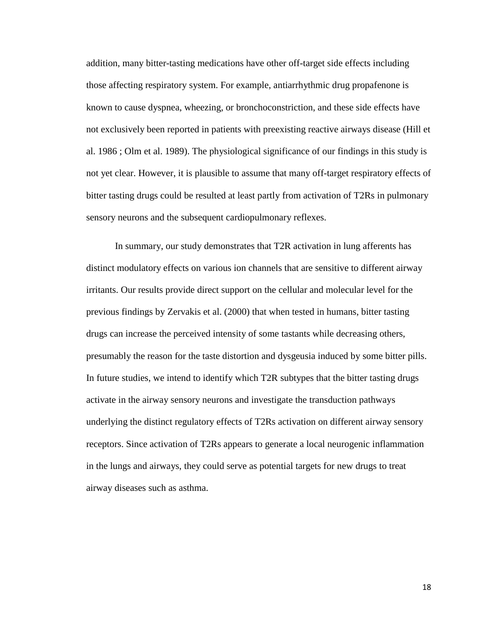addition, many bitter-tasting medications have other off-target side effects including those affecting respiratory system. For example, antiarrhythmic drug propafenone is known to cause dyspnea, wheezing, or bronchoconstriction, and these side effects have not exclusively been reported in patients with preexisting reactive airways disease (Hill et al. 1986 ; Olm et al. 1989). The physiological significance of our findings in this study is not yet clear. However, it is plausible to assume that many off-target respiratory effects of bitter tasting drugs could be resulted at least partly from activation of T2Rs in pulmonary sensory neurons and the subsequent cardiopulmonary reflexes.

In summary, our study demonstrates that T2R activation in lung afferents has distinct modulatory effects on various ion channels that are sensitive to different airway irritants. Our results provide direct support on the cellular and molecular level for the previous findings by Zervakis et al. (2000) that when tested in humans, bitter tasting drugs can increase the perceived intensity of some tastants while decreasing others, presumably the reason for the taste distortion and dysgeusia induced by some bitter pills. In future studies, we intend to identify which T2R subtypes that the bitter tasting drugs activate in the airway sensory neurons and investigate the transduction pathways underlying the distinct regulatory effects of T2Rs activation on different airway sensory receptors. Since activation of T2Rs appears to generate a local neurogenic inflammation in the lungs and airways, they could serve as potential targets for new drugs to treat airway diseases such as asthma.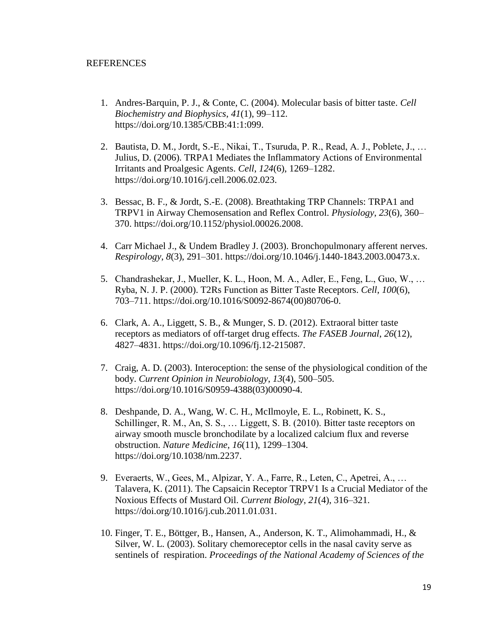### REFERENCES

- 1. Andres-Barquin, P. J., & Conte, C. (2004). Molecular basis of bitter taste. *Cell Biochemistry and Biophysics*, *41*(1), 99–112. [https://doi.org/10.1385/CBB:41:1:099.](https://doi.org/10.1385/CBB:41:1:099)
- 2. Bautista, D. M., Jordt, S.-E., Nikai, T., Tsuruda, P. R., Read, A. J., Poblete, J., … Julius, D. (2006). TRPA1 Mediates the Inflammatory Actions of Environmental Irritants and Proalgesic Agents. *Cell*, *124*(6), 1269–1282. [https://doi.org/10.1016/j.cell.2006.02.023.](https://doi.org/10.1016/j.cell.2006.02.023)
- 3. Bessac, B. F., & Jordt, S.-E. (2008). Breathtaking TRP Channels: TRPA1 and TRPV1 in Airway Chemosensation and Reflex Control. *Physiology*, *23*(6), 360– 370. [https://doi.org/10.1152/physiol.00026.2008.](https://doi.org/10.1152/physiol.00026.2008)
- 4. Carr Michael J., & Undem Bradley J. (2003). Bronchopulmonary afferent nerves. *Respirology*, *8*(3), 291–301. [https://doi.org/10.1046/j.1440-1843.2003.00473.x.](https://doi.org/10.1046/j.1440-1843.2003.00473.x)
- 5. Chandrashekar, J., Mueller, K. L., Hoon, M. A., Adler, E., Feng, L., Guo, W., … Ryba, N. J. P. (2000). T2Rs Function as Bitter Taste Receptors. *Cell*, *100*(6), 703–711. [https://doi.org/10.1016/S0092-8674\(00\)80706-0.](https://doi.org/10.1016/S0092-8674(00)80706-0)
- 6. Clark, A. A., Liggett, S. B., & Munger, S. D. (2012). Extraoral bitter taste receptors as mediators of off-target drug effects. *The FASEB Journal*, *26*(12), 4827–4831. [https://doi.org/10.1096/fj.12-215087.](https://doi.org/10.1096/fj.12-215087)
- 7. Craig, A. D. (2003). Interoception: the sense of the physiological condition of the body. *Current Opinion in Neurobiology*, *13*(4), 500–505. [https://doi.org/10.1016/S0959-4388\(03\)00090-4.](https://doi.org/10.1016/S0959-4388(03)00090-4)
- 8. Deshpande, D. A., Wang, W. C. H., McIlmoyle, E. L., Robinett, K. S., Schillinger, R. M., An, S. S., … Liggett, S. B. (2010). Bitter taste receptors on airway smooth muscle bronchodilate by a localized calcium flux and reverse obstruction. *Nature Medicine*, *16*(11), 1299–1304. [https://doi.org/10.1038/nm.2237.](https://doi.org/10.1038/nm.2237)
- 9. Everaerts, W., Gees, M., Alpizar, Y. A., Farre, R., Leten, C., Apetrei, A., … Talavera, K. (2011). The Capsaicin Receptor TRPV1 Is a Crucial Mediator of the Noxious Effects of Mustard Oil. *Current Biology*, *21*(4), 316–321. [https://doi.org/10.1016/j.cub.2011.01.031.](https://doi.org/10.1016/j.cub.2011.01.031)
- 10. Finger, T. E., Böttger, B., Hansen, A., Anderson, K. T., Alimohammadi, H., & Silver, W. L. (2003). Solitary chemoreceptor cells in the nasal cavity serve as sentinels of respiration. *Proceedings of the National Academy of Sciences of the*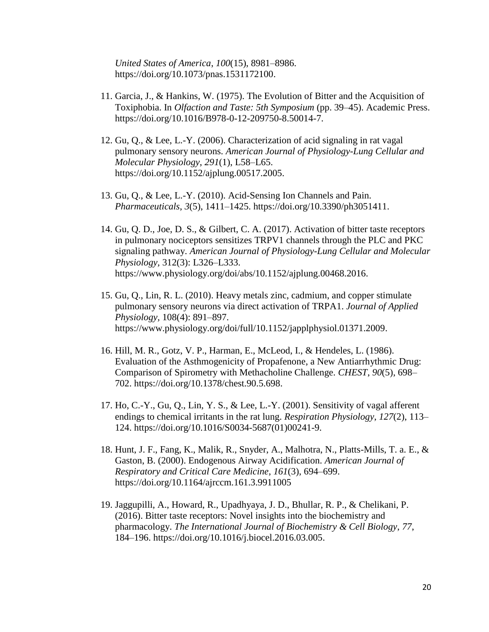*United States of America*, *100*(15), 8981–8986. [https://doi.org/10.1073/pnas.1531172100.](https://doi.org/10.1073/pnas.1531172100)

- 11. Garcia, J., & Hankins, W. (1975). The Evolution of Bitter and the Acquisition of Toxiphobia. In *Olfaction and Taste: 5th Symposium* (pp. 39–45). Academic Press. [https://doi.org/10.1016/B978-0-12-209750-8.50014-7.](https://doi.org/10.1016/B978-0-12-209750-8.50014-7)
- 12. Gu, Q., & Lee, L.-Y. (2006). Characterization of acid signaling in rat vagal pulmonary sensory neurons. *American Journal of Physiology-Lung Cellular and Molecular Physiology*, *291*(1), L58–L65. [https://doi.org/10.1152/ajplung.00517.2005.](https://doi.org/10.1152/ajplung.00517.2005)
- 13. Gu, Q., & Lee, L.-Y. (2010). Acid-Sensing Ion Channels and Pain. *Pharmaceuticals*, *3*(5), 1411–1425. [https://doi.org/10.3390/ph3051411.](https://doi.org/10.3390/ph3051411)
- 14. Gu, Q. D., Joe, D. S., & Gilbert, C. A. (2017). Activation of bitter taste receptors in pulmonary nociceptors sensitizes TRPV1 channels through the PLC and PKC signaling pathway. *American Journal of Physiology-Lung Cellular and Molecular Physiology,* 312(3): L326–L333. https://www.physiology.org/doi/abs/10.1152/ajplung.00468.2016.
- 15. Gu, Q., Lin, R. L. (2010). Heavy metals zinc, cadmium, and copper stimulate pulmonary sensory neurons via direct activation of TRPA1. *Journal of Applied Physiology,* 108(4): 891–897. [https://www.physiology.org/doi/full/10.1152/japplphysiol.01371.2009.](https://www.physiology.org/doi/full/10.1152/japplphysiol.01371.2009)
- 16. Hill, M. R., Gotz, V. P., Harman, E., McLeod, I., & Hendeles, L. (1986). Evaluation of the Asthmogenicity of Propafenone, a New Antiarrhythmic Drug: Comparison of Spirometry with Methacholine Challenge. *CHEST*, *90*(5), 698– 702. [https://doi.org/10.1378/chest.90.5.698.](https://doi.org/10.1378/chest.90.5.698)
- 17. Ho, C.-Y., Gu, Q., Lin, Y. S., & Lee, L.-Y. (2001). Sensitivity of vagal afferent endings to chemical irritants in the rat lung. *Respiration Physiology*, *127*(2), 113– 124. [https://doi.org/10.1016/S0034-5687\(01\)00241-9.](https://doi.org/10.1016/S0034-5687(01)00241-9)
- 18. Hunt, J. F., Fang, K., Malik, R., Snyder, A., Malhotra, N., Platts-Mills, T. a. E., & Gaston, B. (2000). Endogenous Airway Acidification. *American Journal of Respiratory and Critical Care Medicine*, *161*(3), 694–699. <https://doi.org/10.1164/ajrccm.161.3.9911005>
- 19. Jaggupilli, A., Howard, R., Upadhyaya, J. D., Bhullar, R. P., & Chelikani, P. (2016). Bitter taste receptors: Novel insights into the biochemistry and pharmacology. *The International Journal of Biochemistry & Cell Biology*, *77*, 184–196. [https://doi.org/10.1016/j.biocel.2016.03.005.](https://doi.org/10.1016/j.biocel.2016.03.005)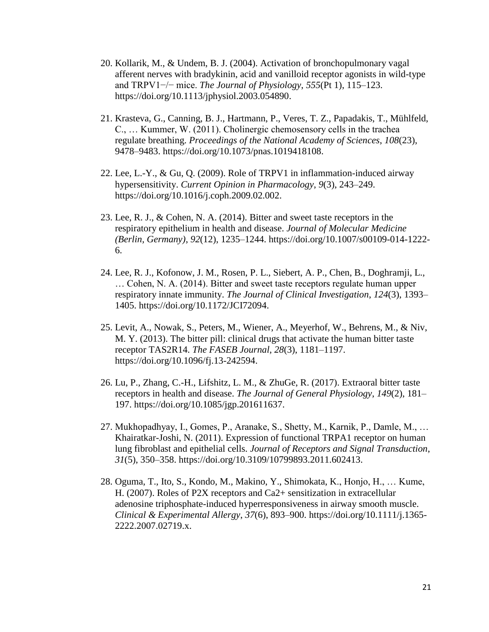- 20. Kollarik, M., & Undem, B. J. (2004). Activation of bronchopulmonary vagal afferent nerves with bradykinin, acid and vanilloid receptor agonists in wild-type and TRPV1−/− mice. *The Journal of Physiology*, *555*(Pt 1), 115–123. [https://doi.org/10.1113/jphysiol.2003.054890.](https://doi.org/10.1113/jphysiol.2003.054890)
- 21. Krasteva, G., Canning, B. J., Hartmann, P., Veres, T. Z., Papadakis, T., Mühlfeld, C., … Kummer, W. (2011). Cholinergic chemosensory cells in the trachea regulate breathing. *Proceedings of the National Academy of Sciences*, *108*(23), 9478–9483. [https://doi.org/10.1073/pnas.1019418108.](https://doi.org/10.1073/pnas.1019418108)
- 22. Lee, L.-Y., & Gu, Q. (2009). Role of TRPV1 in inflammation-induced airway hypersensitivity. *Current Opinion in Pharmacology*, *9*(3), 243–249. [https://doi.org/10.1016/j.coph.2009.02.002.](https://doi.org/10.1016/j.coph.2009.02.002)
- 23. Lee, R. J., & Cohen, N. A. (2014). Bitter and sweet taste receptors in the respiratory epithelium in health and disease. *Journal of Molecular Medicine (Berlin, Germany)*, *92*(12), 1235–1244. [https://doi.org/10.1007/s00109-014-1222-](https://doi.org/10.1007/s00109-014-1222-6) [6.](https://doi.org/10.1007/s00109-014-1222-6)
- 24. Lee, R. J., Kofonow, J. M., Rosen, P. L., Siebert, A. P., Chen, B., Doghramji, L., … Cohen, N. A. (2014). Bitter and sweet taste receptors regulate human upper respiratory innate immunity. *The Journal of Clinical Investigation*, *124*(3), 1393– 1405. [https://doi.org/10.1172/JCI72094.](https://doi.org/10.1172/JCI72094)
- 25. Levit, A., Nowak, S., Peters, M., Wiener, A., Meyerhof, W., Behrens, M., & Niv, M. Y. (2013). The bitter pill: clinical drugs that activate the human bitter taste receptor TAS2R14. *The FASEB Journal*, *28*(3), 1181–1197. [https://doi.org/10.1096/fj.13-242594.](https://doi.org/10.1096/fj.13-242594)
- 26. Lu, P., Zhang, C.-H., Lifshitz, L. M., & ZhuGe, R. (2017). Extraoral bitter taste receptors in health and disease. *The Journal of General Physiology*, *149*(2), 181– 197. [https://doi.org/10.1085/jgp.201611637.](https://doi.org/10.1085/jgp.201611637)
- 27. Mukhopadhyay, I., Gomes, P., Aranake, S., Shetty, M., Karnik, P., Damle, M., … Khairatkar-Joshi, N. (2011). Expression of functional TRPA1 receptor on human lung fibroblast and epithelial cells. *Journal of Receptors and Signal Transduction*, *31*(5), 350–358. [https://doi.org/10.3109/10799893.2011.602413.](https://doi.org/10.3109/10799893.2011.602413)
- 28. Oguma, T., Ito, S., Kondo, M., Makino, Y., Shimokata, K., Honjo, H., … Kume, H. (2007). Roles of P2X receptors and Ca2+ sensitization in extracellular adenosine triphosphate-induced hyperresponsiveness in airway smooth muscle. *Clinical & Experimental Allergy*, *37*(6), 893–900. [https://doi.org/10.1111/j.1365-](https://doi.org/10.1111/j.1365-2222.2007.02719.x) [2222.2007.02719.x.](https://doi.org/10.1111/j.1365-2222.2007.02719.x)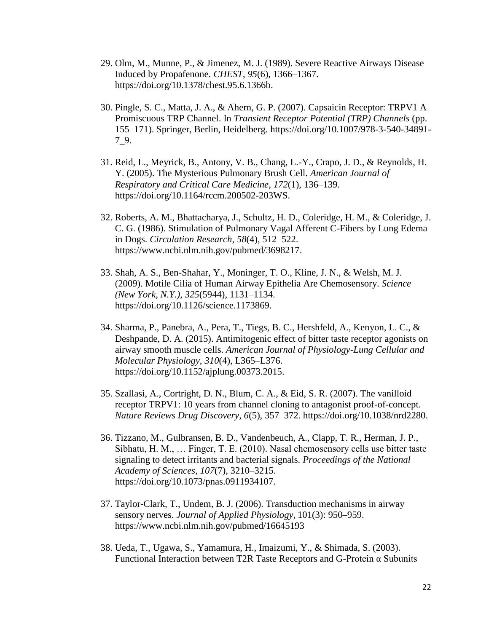- 29. Olm, M., Munne, P., & Jimenez, M. J. (1989). Severe Reactive Airways Disease Induced by Propafenone. *CHEST*, *95*(6), 1366–1367. [https://doi.org/10.1378/chest.95.6.1366b.](https://doi.org/10.1378/chest.95.6.1366b)
- 30. Pingle, S. C., Matta, J. A., & Ahern, G. P. (2007). Capsaicin Receptor: TRPV1 A Promiscuous TRP Channel. In *Transient Receptor Potential (TRP) Channels* (pp. 155–171). Springer, Berlin, Heidelberg. [https://doi.org/10.1007/978-3-540-34891-](https://doi.org/10.1007/978-3-540-34891-7_9) [7\\_9.](https://doi.org/10.1007/978-3-540-34891-7_9)
- 31. Reid, L., Meyrick, B., Antony, V. B., Chang, L.-Y., Crapo, J. D., & Reynolds, H. Y. (2005). The Mysterious Pulmonary Brush Cell. *American Journal of Respiratory and Critical Care Medicine*, *172*(1), 136–139. [https://doi.org/10.1164/rccm.200502-203WS.](https://doi.org/10.1164/rccm.200502-203WS)
- 32. Roberts, A. M., Bhattacharya, J., Schultz, H. D., Coleridge, H. M., & Coleridge, J. C. G. (1986). Stimulation of Pulmonary Vagal Afferent C-Fibers by Lung Edema in Dogs. *Circulation Research*, *58*(4), 512–522. https://www.ncbi.nlm.nih.gov/pubmed/3698217.
- 33. Shah, A. S., Ben-Shahar, Y., Moninger, T. O., Kline, J. N., & Welsh, M. J. (2009). Motile Cilia of Human Airway Epithelia Are Chemosensory. *Science (New York, N.Y.)*, *325*(5944), 1131–1134. [https://doi.org/10.1126/science.1173869.](https://doi.org/10.1126/science.1173869)
- 34. Sharma, P., Panebra, A., Pera, T., Tiegs, B. C., Hershfeld, A., Kenyon, L. C., & Deshpande, D. A. (2015). Antimitogenic effect of bitter taste receptor agonists on airway smooth muscle cells. *American Journal of Physiology-Lung Cellular and Molecular Physiology*, *310*(4), L365–L376. [https://doi.org/10.1152/ajplung.00373.2015.](https://doi.org/10.1152/ajplung.00373.2015)
- 35. Szallasi, A., Cortright, D. N., Blum, C. A., & Eid, S. R. (2007). The vanilloid receptor TRPV1: 10 years from channel cloning to antagonist proof-of-concept. *Nature Reviews Drug Discovery*, *6*(5), 357–372. [https://doi.org/10.1038/nrd2280.](https://doi.org/10.1038/nrd2280)
- 36. Tizzano, M., Gulbransen, B. D., Vandenbeuch, A., Clapp, T. R., Herman, J. P., Sibhatu, H. M., … Finger, T. E. (2010). Nasal chemosensory cells use bitter taste signaling to detect irritants and bacterial signals. *Proceedings of the National Academy of Sciences*, *107*(7), 3210–3215. [https://doi.org/10.1073/pnas.0911934107.](https://doi.org/10.1073/pnas.0911934107)
- 37. Taylor-Clark, T., Undem, B. J. (2006). Transduction mechanisms in airway sensory nerves. *Journal of Applied Physiology,* 101(3): 950–959. https://www.ncbi.nlm.nih.gov/pubmed/16645193
- 38. Ueda, T., Ugawa, S., Yamamura, H., Imaizumi, Y., & Shimada, S. (2003). Functional Interaction between T2R Taste Receptors and G-Protein α Subunits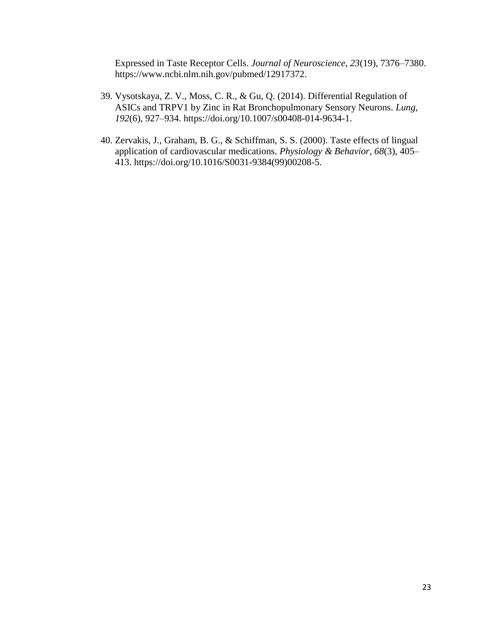Expressed in Taste Receptor Cells. *Journal of Neuroscience*, *23*(19), 7376–7380. https://www.ncbi.nlm.nih.gov/pubmed/12917372.

- 39. Vysotskaya, Z. V., Moss, C. R., & Gu, Q. (2014). Differential Regulation of ASICs and TRPV1 by Zinc in Rat Bronchopulmonary Sensory Neurons. *Lung*, *192*(6), 927–934. [https://doi.org/10.1007/s00408-014-9634-1.](https://doi.org/10.1007/s00408-014-9634-1)
- 40. Zervakis, J., Graham, B. G., & Schiffman, S. S. (2000). Taste effects of lingual application of cardiovascular medications. *Physiology & Behavior*, *68*(3), 405– 413. [https://doi.org/10.1016/S0031-9384\(99\)00208-5.](https://doi.org/10.1016/S0031-9384(99)00208-5)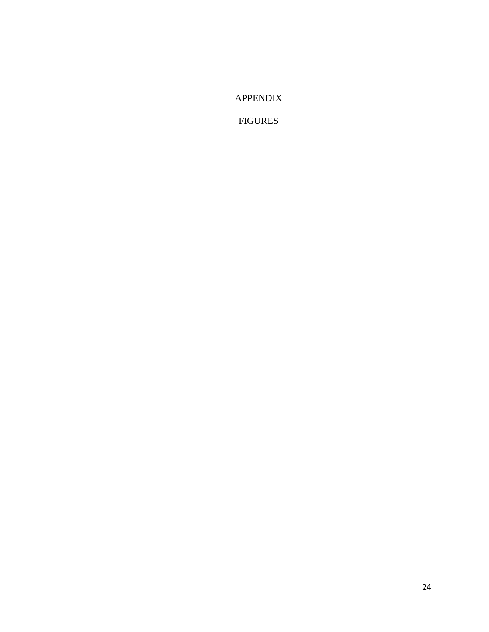APPENDIX

FIGURES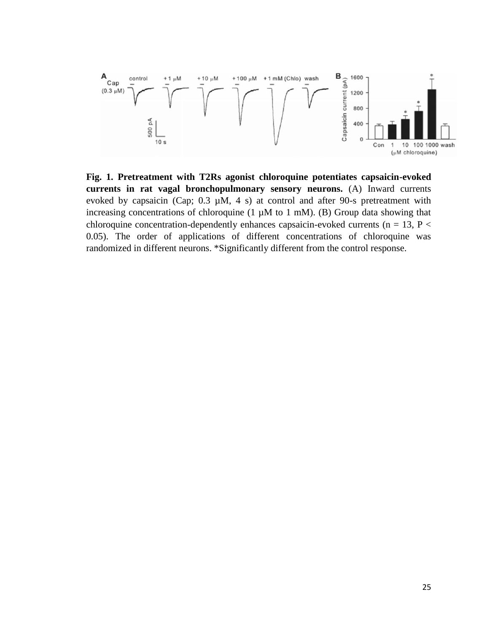

**Fig. 1. Pretreatment with T2Rs agonist chloroquine potentiates capsaicin-evoked currents in rat vagal bronchopulmonary sensory neurons.** (A) Inward currents evoked by capsaicin (Cap;  $0.3 \mu M$ , 4 s) at control and after 90-s pretreatment with increasing concentrations of chloroquine  $(1 \mu M)$  to  $1 \mu M$ ). (B) Group data showing that chloroquine concentration-dependently enhances capsaicin-evoked currents ( $n = 13$ ,  $P <$ 0.05). The order of applications of different concentrations of chloroquine was randomized in different neurons. \*Significantly different from the control response.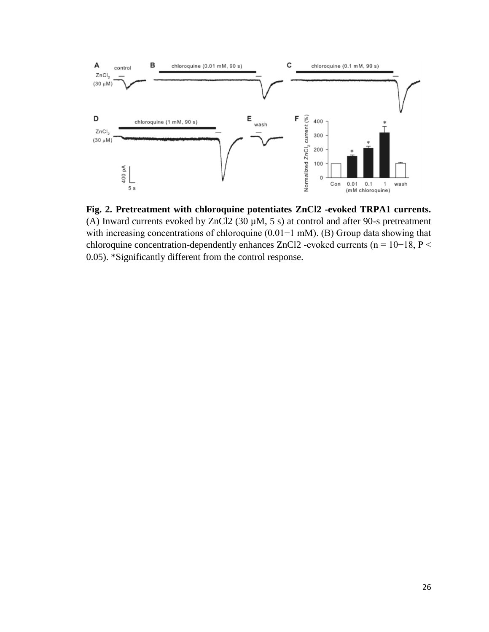

**Fig. 2. Pretreatment with chloroquine potentiates ZnCl2 -evoked TRPA1 currents.** (A) Inward currents evoked by ZnCl2 (30  $\mu$ M, 5 s) at control and after 90-s pretreatment with increasing concentrations of chloroquine (0.01−1 mM). (B) Group data showing that chloroquine concentration-dependently enhances ZnCl2 -evoked currents (n = 10−18, P < 0.05). \*Significantly different from the control response.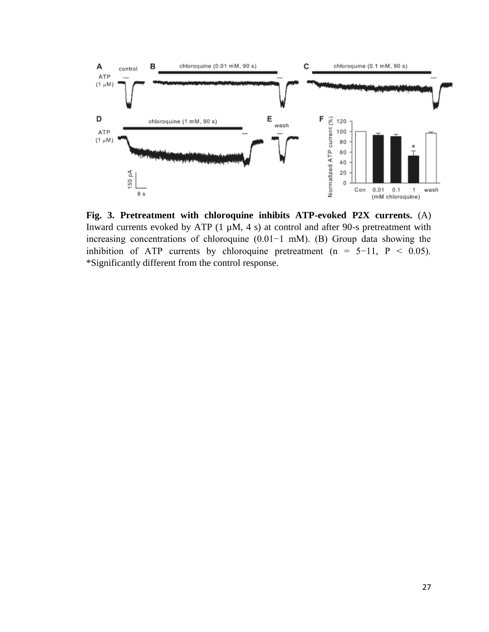

**Fig. 3. Pretreatment with chloroquine inhibits ATP-evoked P2X currents.** (A) Inward currents evoked by ATP  $(1 \mu M, 4 \text{ s})$  at control and after 90-s pretreatment with increasing concentrations of chloroquine (0.01−1 mM). (B) Group data showing the inhibition of ATP currents by chloroquine pretreatment (n =  $5-11$ , P < 0.05). \*Significantly different from the control response.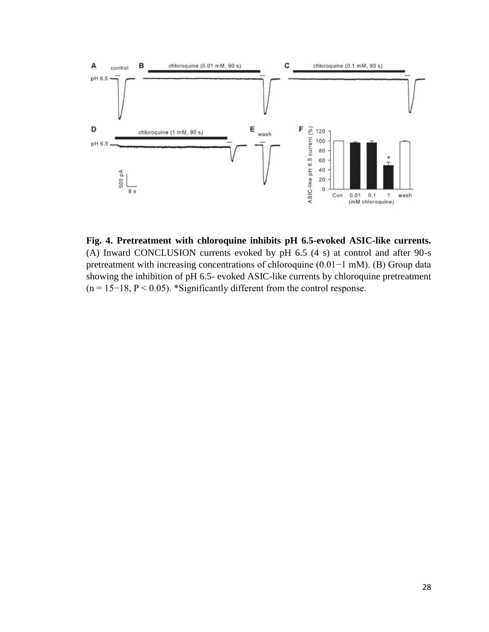

**Fig. 4. Pretreatment with chloroquine inhibits pH 6.5-evoked ASIC-like currents.** (A) Inward CONCLUSION currents evoked by pH 6.5 (4 s) at control and after 90-s pretreatment with increasing concentrations of chloroquine (0.01−1 mM). (B) Group data showing the inhibition of pH 6.5- evoked ASIC-like currents by chloroquine pretreatment (n = 15−18, P < 0.05). \*Significantly different from the control response.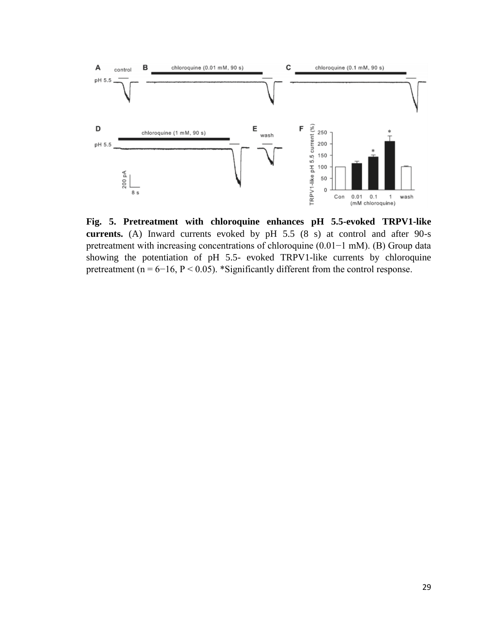

**Fig. 5. Pretreatment with chloroquine enhances pH 5.5-evoked TRPV1-like currents.** (A) Inward currents evoked by pH 5.5 (8 s) at control and after 90-s pretreatment with increasing concentrations of chloroquine (0.01−1 mM). (B) Group data showing the potentiation of pH 5.5- evoked TRPV1-like currents by chloroquine pretreatment ( $n = 6-16$ ,  $P < 0.05$ ). \*Significantly different from the control response.